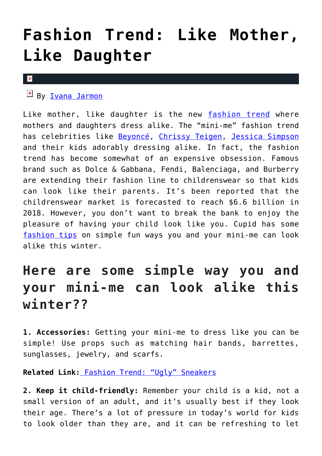## **[Fashion Trend: Like Mother,](https://cupidspulse.com/127624/fashion-trend-like-mother-like-daughter/) [Like Daughter](https://cupidspulse.com/127624/fashion-trend-like-mother-like-daughter/)**

## $\mathbf x$

 $By$  [Ivana Jarmon](http://cupidspulse.com/126746/ivana-jarmon/)

Like mother, like daughter is the new [fashion trend](http://cupidspulse.com/fashion/) where mothers and daughters dress alike. The "mini-me" fashion trend has celebrities like [Beyoncé,](http://cupidspulse.com/86087/beyonce/) [Chrissy Teigen,](http://cupidspulse.com/109122/chrissy-teigen/) [Jessica Simpson](http://cupidspulse.com/93039/jessica-simpson/) and their kids adorably dressing alike. In fact, the fashion trend has become somewhat of an expensive obsession. Famous brand such as Dolce & Gabbana, Fendi, Balenciaga, and Burberry are extending their fashion line to childrenswear so that kids can look like their parents. It's been reported that the childrenswear market is forecasted to reach \$6.6 billion in 2018. However, you don't want to break the bank to enjoy the pleasure of having your child look like you. Cupid has some [fashion tips](http://cupidspulse.com/fashion/) on simple fun ways you and your mini-me can look alike this winter.

## **Here are some simple way you and your mini-me can look alike this winter??**

**1. Accessories:** Getting your mini-me to dress like you can be simple! Use props such as matching hair bands, barrettes, sunglasses, jewelry, and scarfs.

**Related Link:** [Fashion Trend: "Ugly" Sneakers](http://cupidspulse.com/127329/fashion-trend-ugly-sneakers/)

**2. Keep it child-friendly:** Remember your child is a kid, not a small version of an adult, and it's usually best if they look their age. There's a lot of pressure in today's world for kids to look older than they are, and it can be refreshing to let